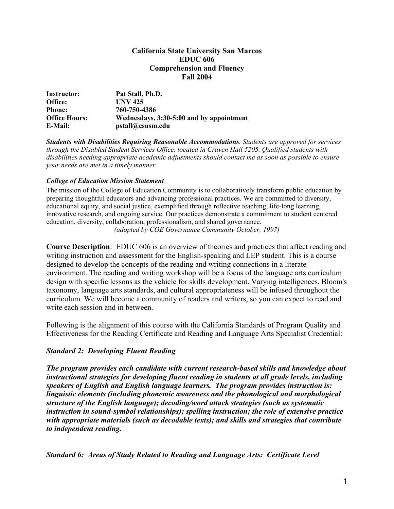#### **California State University San Marcos EDUC 606 Comprehension and Fluency Fall 2004**

| Instructor:          | Pat Stall, Ph.D.                         |
|----------------------|------------------------------------------|
| Office:              | <b>UNV 425</b>                           |
| <b>Phone:</b>        | 760-750-4386                             |
| <b>Office Hours:</b> | Wednesdays, 3:30-5:00 and by appointment |
| E-Mail:              | pstall@csusm.edu                         |

*Students with Disabilities Requiring Reasonable Accommodations. Students are approved for services through the Disabled Student Services Office, located in Craven Hall 5205. Qualified students with disabilities needing appropriate academic adjustments should contact me as soon as possible to ensure your needs are met in a timely manner.* 

#### *College of Education Mission Statement*

The mission of the College of Education Community is to collaboratively transform public education by preparing thoughtful educators and advancing professional practices. We are committed to diversity, educational equity, and social justice, exemplified through reflective teaching, life-long learning, innovative research, and ongoing service. Our practices demonstrate a commitment to student centered education, diversity, collaboration, professionalism, and shared governance. *(adopted by COE Governance Community October, 1997)*

**Course Description**: EDUC 606 is an overview of theories and practices that affect reading and writing instruction and assessment for the English-speaking and LEP student. This is a course designed to develop the concepts of the reading and writing connections in a literate environment. The reading and writing workshop will be a focus of the language arts curriculum design with specific lessons as the vehicle for skills development. Varying intelligences, Bloom's taxonomy, language arts standards, and cultural appropriateness will be infused throughout the curriculum. We will become a community of readers and writers, so you can expect to read and write each session and in between.

Following is the alignment of this course with the California Standards of Program Quality and Effectiveness for the Reading Certificate and Reading and Language Arts Specialist Credential:

#### *Standard 2: Developing Fluent Reading*

*The program provides each candidate with current research-based skills and knowledge about instructional strategies for developing fluent reading in students at all grade levels, including speakers of English and English language learners. The program provides instruction is: linguistic elements (including phonemic awareness and the phonological and morphological structure of the English language); decoding/word attack strategies (such as systematic instruction in sound-symbol relationships); spelling instruction; the role of extensive practice with appropriate materials (such as decodable texts); and skills and strategies that contribute to independent reading.* 

*Standard 6: Areas of Study Related to Reading and Language Arts: Certificate Level*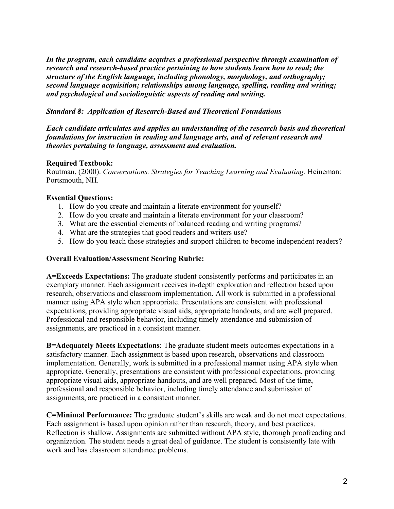*In the program, each candidate acquires a professional perspective through examination of research and research-based practice pertaining to how students learn how to read; the structure of the English language, including phonology, morphology, and orthography; second language acquisition; relationships among language, spelling, reading and writing; and psychological and sociolinguistic aspects of reading and writing.*

# *Standard 8: Application of Research-Based and Theoretical Foundations*

*Each candidate articulates and applies an understanding of the research basis and theoretical foundations for instruction in reading and language arts, and of relevant research and theories pertaining to language, assessment and evaluation.* 

### **Required Textbook:**

Routman, (2000). *Conversations. Strategies for Teaching Learning and Evaluating.* Heineman: Portsmouth, NH.

### **Essential Questions:**

- 1. How do you create and maintain a literate environment for yourself?
- 2. How do you create and maintain a literate environment for your classroom?
- 3. What are the essential elements of balanced reading and writing programs?
- 4. What are the strategies that good readers and writers use?
- 5. How do you teach those strategies and support children to become independent readers?

#### **Overall Evaluation/Assessment Scoring Rubric:**

**A=Exceeds Expectations:** The graduate student consistently performs and participates in an exemplary manner. Each assignment receives in-depth exploration and reflection based upon research, observations and classroom implementation. All work is submitted in a professional manner using APA style when appropriate. Presentations are consistent with professional expectations, providing appropriate visual aids, appropriate handouts, and are well prepared. Professional and responsible behavior, including timely attendance and submission of assignments, are practiced in a consistent manner.

**B=Adequately Meets Expectations**: The graduate student meets outcomes expectations in a satisfactory manner. Each assignment is based upon research, observations and classroom implementation. Generally, work is submitted in a professional manner using APA style when appropriate. Generally, presentations are consistent with professional expectations, providing appropriate visual aids, appropriate handouts, and are well prepared. Most of the time, professional and responsible behavior, including timely attendance and submission of assignments, are practiced in a consistent manner.

**C=Minimal Performance:** The graduate student's skills are weak and do not meet expectations. Each assignment is based upon opinion rather than research, theory, and best practices. Reflection is shallow. Assignments are submitted without APA style, thorough proofreading and organization. The student needs a great deal of guidance. The student is consistently late with work and has classroom attendance problems.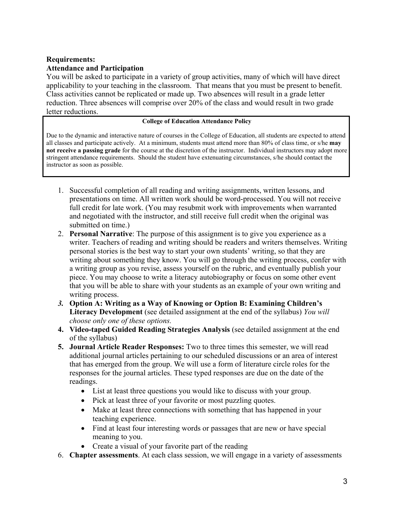# **Requirements: Attendance and Participation**

You will be asked to participate in a variety of group activities, many of which will have direct applicability to your teaching in the classroom. That means that you must be present to benefit. Class activities cannot be replicated or made up. Two absences will result in a grade letter reduction. Three absences will comprise over 20% of the class and would result in two grade letter reductions.

#### **College of Education Attendance Policy**

Due to the dynamic and interactive nature of courses in the College of Education, all students are expected to attend all classes and participate actively. At a minimum, students must attend more than 80% of class time, or s/he **may not receive a passing grade** for the course at the discretion of the instructor. Individual instructors may adopt more stringent attendance requirements. Should the student have extenuating circumstances, s/he should contact the instructor as soon as possible.

- 1. Successful completion of all reading and writing assignments, written lessons, and presentations on time. All written work should be word-processed. You will not receive full credit for late work. (You may resubmit work with improvements when warranted and negotiated with the instructor, and still receive full credit when the original was submitted on time.)
- 2. **Personal Narrative**: The purpose of this assignment is to give you experience as a writer. Teachers of reading and writing should be readers and writers themselves. Writing personal stories is the best way to start your own students' writing, so that they are writing about something they know. You will go through the writing process, confer with a writing group as you revise, assess yourself on the rubric, and eventually publish your piece. You may choose to write a literacy autobiography or focus on some other event that you will be able to share with your students as an example of your own writing and writing process.
- *3.* **Option A: Writing as a Way of Knowing or Option B: Examining Children's Literacy Development** (see detailed assignment at the end of the syllabus) *You will choose only one of these options.*
- **4. Video-taped Guided Reading Strategies Analysis** (see detailed assignment at the end of the syllabus)
- **5. Journal Article Reader Responses:** Two to three times this semester, we will read additional journal articles pertaining to our scheduled discussions or an area of interest that has emerged from the group. We will use a form of literature circle roles for the responses for the journal articles. These typed responses are due on the date of the readings.
	- List at least three questions you would like to discuss with your group.
	- Pick at least three of your favorite or most puzzling quotes.
	- Make at least three connections with something that has happened in your teaching experience.
	- Find at least four interesting words or passages that are new or have special meaning to you.
	- Create a visual of your favorite part of the reading
- 6. **Chapter assessments**. At each class session, we will engage in a variety of assessments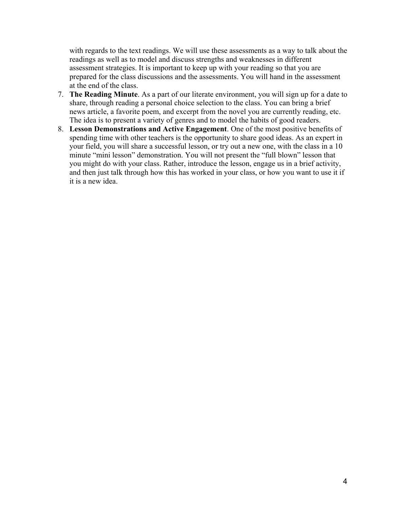with regards to the text readings. We will use these assessments as a way to talk about the readings as well as to model and discuss strengths and weaknesses in different assessment strategies. It is important to keep up with your reading so that you are prepared for the class discussions and the assessments. You will hand in the assessment at the end of the class.

- 7. **The Reading Minute**. As a part of our literate environment, you will sign up for a date to share, through reading a personal choice selection to the class. You can bring a brief news article, a favorite poem, and excerpt from the novel you are currently reading, etc. The idea is to present a variety of genres and to model the habits of good readers.
- 8. **Lesson Demonstrations and Active Engagement**. One of the most positive benefits of spending time with other teachers is the opportunity to share good ideas. As an expert in your field, you will share a successful lesson, or try out a new one, with the class in a 10 minute "mini lesson" demonstration. You will not present the "full blown" lesson that you might do with your class. Rather, introduce the lesson, engage us in a brief activity, and then just talk through how this has worked in your class, or how you want to use it if it is a new idea.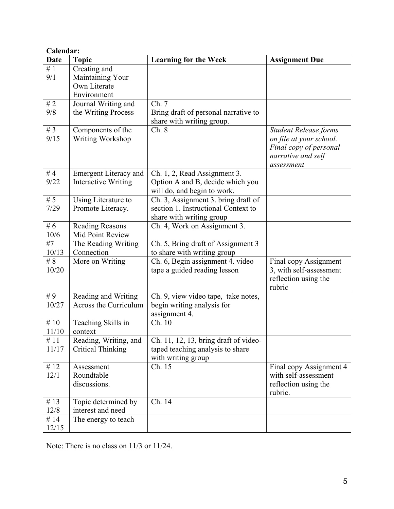| Calendar:                 |                                                                 |                                                                                                        |                                                                                                                       |  |
|---------------------------|-----------------------------------------------------------------|--------------------------------------------------------------------------------------------------------|-----------------------------------------------------------------------------------------------------------------------|--|
| <b>Date</b>               | <b>Topic</b>                                                    | <b>Learning for the Week</b>                                                                           | <b>Assignment Due</b>                                                                                                 |  |
| $\overline{\#}1$<br>9/1   | Creating and<br>Maintaining Your<br>Own Literate<br>Environment |                                                                                                        |                                                                                                                       |  |
| #2<br>9/8                 | Journal Writing and<br>the Writing Process                      | Ch. 7<br>Bring draft of personal narrative to<br>share with writing group.                             |                                                                                                                       |  |
| # $3$<br>9/15             | Components of the<br>Writing Workshop                           | Ch. 8                                                                                                  | <b>Student Release forms</b><br>on file at your school.<br>Final copy of personal<br>narrative and self<br>assessment |  |
| #4<br>9/22                | <b>Emergent Literacy and</b><br><b>Interactive Writing</b>      | Ch. 1, 2, Read Assignment 3.<br>Option A and B, decide which you<br>will do, and begin to work.        |                                                                                                                       |  |
| # $5$<br>7/29             | Using Literature to<br>Promote Literacy.                        | Ch. 3, Assignment 3. bring draft of<br>section 1. Instructional Context to<br>share with writing group |                                                                                                                       |  |
| # $6$<br>10/6             | <b>Reading Reasons</b><br>Mid Point Review                      | Ch. 4, Work on Assignment 3.                                                                           |                                                                                                                       |  |
| #7<br>10/13               | The Reading Writing<br>Connection                               | Ch. 5, Bring draft of Assignment 3<br>to share with writing group                                      |                                                                                                                       |  |
| # $\overline{8}$<br>10/20 | More on Writing                                                 | Ch. 6, Begin assignment 4. video<br>tape a guided reading lesson                                       | Final copy Assignment<br>3, with self-assessment<br>reflection using the<br>rubric                                    |  |
| #9<br>10/27               | Reading and Writing<br>Across the Curriculum                    | Ch. 9, view video tape, take notes,<br>begin writing analysis for<br>assignment 4.                     |                                                                                                                       |  |
| # $10$<br>11/10           | Teaching Skills in<br>context                                   | Ch. 10                                                                                                 |                                                                                                                       |  |
| #11<br>11/17              | Reading, Writing, and<br><b>Critical Thinking</b>               | Ch. 11, 12, 13, bring draft of video-<br>taped teaching analysis to share<br>with writing group        |                                                                                                                       |  |
| # $12$<br>12/1            | Assessment<br>Roundtable<br>discussions.                        | Ch. 15                                                                                                 | Final copy Assignment 4<br>with self-assessment<br>reflection using the<br>rubric.                                    |  |
| # $13$<br>12/8            | Topic determined by<br>interest and need                        | Ch. 14                                                                                                 |                                                                                                                       |  |
| #14<br>12/15              | The energy to teach                                             |                                                                                                        |                                                                                                                       |  |

Note: There is no class on 11/3 or 11/24.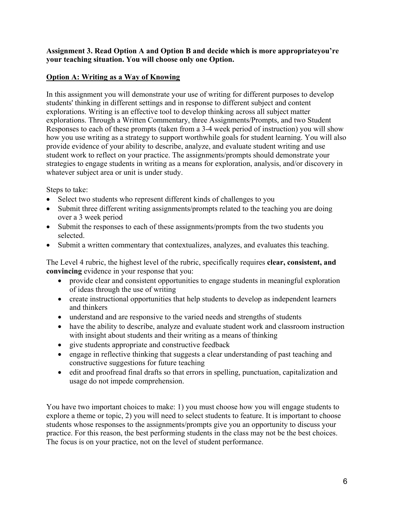### **Assignment 3. Read Option A and Option B and decide which is more appropriateyou're your teaching situation. You will choose only one Option.**

# **Option A: Writing as a Way of Knowing**

In this assignment you will demonstrate your use of writing for different purposes to develop students' thinking in different settings and in response to different subject and content explorations. Writing is an effective tool to develop thinking across all subject matter explorations. Through a Written Commentary, three Assignments/Prompts, and two Student Responses to each of these prompts (taken from a 3-4 week period of instruction) you will show how you use writing as a strategy to support worthwhile goals for student learning. You will also provide evidence of your ability to describe, analyze, and evaluate student writing and use student work to reflect on your practice. The assignments/prompts should demonstrate your strategies to engage students in writing as a means for exploration, analysis, and/or discovery in whatever subject area or unit is under study.

Steps to take:

- Select two students who represent different kinds of challenges to you
- Submit three different writing assignments/prompts related to the teaching you are doing over a 3 week period
- Submit the responses to each of these assignments/prompts from the two students you selected.
- Submit a written commentary that contextualizes, analyzes, and evaluates this teaching.

The Level 4 rubric, the highest level of the rubric, specifically requires **clear, consistent, and convincing** evidence in your response that you:

- provide clear and consistent opportunities to engage students in meaningful exploration of ideas through the use of writing
- create instructional opportunities that help students to develop as independent learners and thinkers
- understand and are responsive to the varied needs and strengths of students
- have the ability to describe, analyze and evaluate student work and classroom instruction with insight about students and their writing as a means of thinking
- give students appropriate and constructive feedback
- engage in reflective thinking that suggests a clear understanding of past teaching and constructive suggestions for future teaching
- edit and proofread final drafts so that errors in spelling, punctuation, capitalization and usage do not impede comprehension.

You have two important choices to make: 1) you must choose how you will engage students to explore a theme or topic, 2) you will need to select students to feature. It is important to choose students whose responses to the assignments/prompts give you an opportunity to discuss your practice. For this reason, the best performing students in the class may not be the best choices. The focus is on your practice, not on the level of student performance.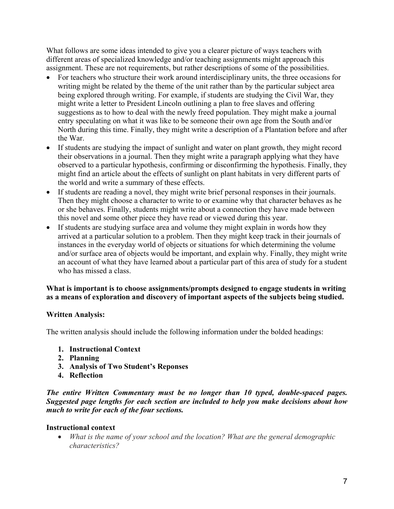What follows are some ideas intended to give you a clearer picture of ways teachers with different areas of specialized knowledge and/or teaching assignments might approach this assignment. These are not requirements, but rather descriptions of some of the possibilities.

- For teachers who structure their work around interdisciplinary units, the three occasions for writing might be related by the theme of the unit rather than by the particular subject area being explored through writing. For example, if students are studying the Civil War, they might write a letter to President Lincoln outlining a plan to free slaves and offering suggestions as to how to deal with the newly freed population. They might make a journal entry speculating on what it was like to be someone their own age from the South and/or North during this time. Finally, they might write a description of a Plantation before and after the War.
- If students are studying the impact of sunlight and water on plant growth, they might record their observations in a journal. Then they might write a paragraph applying what they have observed to a particular hypothesis, confirming or disconfirming the hypothesis. Finally, they might find an article about the effects of sunlight on plant habitats in very different parts of the world and write a summary of these effects.
- If students are reading a novel, they might write brief personal responses in their journals. Then they might choose a character to write to or examine why that character behaves as he or she behaves. Finally, students might write about a connection they have made between this novel and some other piece they have read or viewed during this year.
- If students are studying surface area and volume they might explain in words how they arrived at a particular solution to a problem. Then they might keep track in their journals of instances in the everyday world of objects or situations for which determining the volume and/or surface area of objects would be important, and explain why. Finally, they might write an account of what they have learned about a particular part of this area of study for a student who has missed a class.

# **What is important is to choose assignments/prompts designed to engage students in writing as a means of exploration and discovery of important aspects of the subjects being studied.**

# **Written Analysis:**

The written analysis should include the following information under the bolded headings:

- **1. Instructional Context**
- **2. Planning**
- **3. Analysis of Two Student's Reponses**
- **4. Reflection**

*The entire Written Commentary must be no longer than 10 typed, double-spaced pages. Suggested page lengths for each section are included to help you make decisions about how much to write for each of the four sections.* 

# **Instructional context**

• *What is the name of your school and the location? What are the general demographic characteristics?*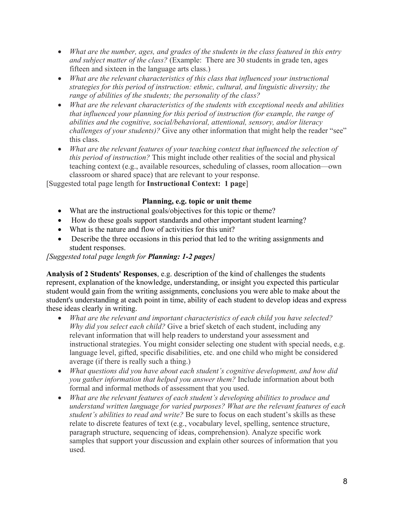- *What are the number, ages, and grades of the students in the class featured in this entry and subject matter of the class?* (Example: There are 30 students in grade ten, ages fifteen and sixteen in the language arts class.)
- *What are the relevant characteristics of this class that influenced your instructional strategies for this period of instruction: ethnic, cultural, and linguistic diversity; the range of abilities of the students; the personality of the class?*
- *What are the relevant characteristics of the students with exceptional needs and abilities that influenced your planning for this period of instruction (for example, the range of abilities and the cognitive, social/behavioral, attentional, sensory, and/or literacy challenges of your students)?* Give any other information that might help the reader "see" this class.
- *What are the relevant features of your teaching context that influenced the selection of this period of instruction?* This might include other realities of the social and physical teaching context (e.g., available resources, scheduling of classes, room allocation—own classroom or shared space) that are relevant to your response.

[Suggested total page length for **Instructional Context: 1 page**]

# **Planning, e.g. topic or unit theme**

- What are the instructional goals/objectives for this topic or theme?
- How do these goals support standards and other important student learning?
- What is the nature and flow of activities for this unit?
- Describe the three occasions in this period that led to the writing assignments and student responses.

*[Suggested total page length for Planning: 1-2 pages]* 

**Analysis of 2 Students' Responses**, e.g. description of the kind of challenges the students represent, explanation of the knowledge, understanding, or insight you expected this particular student would gain from the writing assignments, conclusions you were able to make about the student's understanding at each point in time, ability of each student to develop ideas and express these ideas clearly in writing.

- *What are the relevant and important characteristics of each child you have selected? Why did you select each child?* Give a brief sketch of each student, including any relevant information that will help readers to understand your assessment and instructional strategies. You might consider selecting one student with special needs, e.g. language level, gifted, specific disabilities, etc. and one child who might be considered average (if there is really such a thing.)
- *What questions did you have about each student's cognitive development, and how did you gather information that helped you answer them?* Include information about both formal and informal methods of assessment that you used.
- *What are the relevant features of each student's developing abilities to produce and understand written language for varied purposes? What are the relevant features of each student's abilities to read and write?* Be sure to focus on each student's skills as these relate to discrete features of text (e.g., vocabulary level, spelling, sentence structure, paragraph structure, sequencing of ideas, comprehension). Analyze specific work samples that support your discussion and explain other sources of information that you used.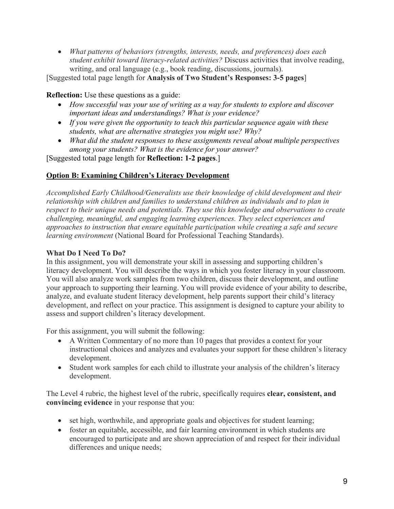• *What patterns of behaviors (strengths, interests, needs, and preferences) does each student exhibit toward literacy-related activities?* Discuss activities that involve reading, writing, and oral language (e.g., book reading, discussions, journals).

[Suggested total page length for **Analysis of Two Student's Responses: 3-5 pages**]

# **Reflection:** Use these questions as a guide:

- *How successful was your use of writing as a way for students to explore and discover important ideas and understandings? What is your evidence?*
- *If you were given the opportunity to teach this particular sequence again with these students, what are alternative strategies you might use? Why?*
- *What did the student responses to these assignments reveal about multiple perspectives among your students? What is the evidence for your answer?*

[Suggested total page length for **Reflection: 1-2 pages**.]

# **Option B: Examining Children's Literacy Development**

*Accomplished Early Childhood/Generalists use their knowledge of child development and their relationship with children and families to understand children as individuals and to plan in respect to their unique needs and potentials. They use this knowledge and observations to create challenging, meaningful, and engaging learning experiences. They select experiences and approaches to instruction that ensure equitable participation while creating a safe and secure learning environment* (National Board for Professional Teaching Standards).

### **What Do I Need To Do?**

In this assignment, you will demonstrate your skill in assessing and supporting children's literacy development. You will describe the ways in which you foster literacy in your classroom. You will also analyze work samples from two children, discuss their development, and outline your approach to supporting their learning. You will provide evidence of your ability to describe, analyze, and evaluate student literacy development, help parents support their child's literacy development, and reflect on your practice. This assignment is designed to capture your ability to assess and support children's literacy development.

For this assignment, you will submit the following:

- A Written Commentary of no more than 10 pages that provides a context for your instructional choices and analyzes and evaluates your support for these children's literacy development.
- Student work samples for each child to illustrate your analysis of the children's literacy development.

The Level 4 rubric, the highest level of the rubric, specifically requires **clear, consistent, and convincing evidence** in your response that you:

- set high, worthwhile, and appropriate goals and objectives for student learning;
- foster an equitable, accessible, and fair learning environment in which students are encouraged to participate and are shown appreciation of and respect for their individual differences and unique needs;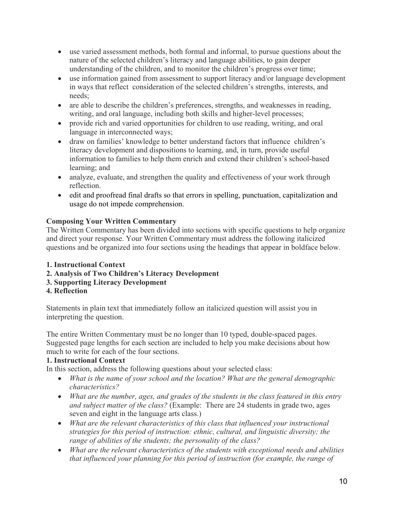- use varied assessment methods, both formal and informal, to pursue questions about the nature of the selected children's literacy and language abilities, to gain deeper understanding of the children, and to monitor the children's progress over time;
- use information gained from assessment to support literacy and/or language development in ways that reflect consideration of the selected children's strengths, interests, and needs;
- are able to describe the children's preferences, strengths, and weaknesses in reading, writing, and oral language, including both skills and higher-level processes;
- provide rich and varied opportunities for children to use reading, writing, and oral language in interconnected ways;
- draw on families' knowledge to better understand factors that influence children's literacy development and dispositions to learning, and, in turn, provide useful information to families to help them enrich and extend their children's school-based learning; and
- analyze, evaluate, and strengthen the quality and effectiveness of your work through reflection.
- edit and proofread final drafts so that errors in spelling, punctuation, capitalization and usage do not impede comprehension.

# **Composing Your Written Commentary**

The Written Commentary has been divided into sections with specific questions to help organize and direct your response. Your Written Commentary must address the following italicized questions and be organized into four sections using the headings that appear in boldface below.

- **1. Instructional Context**
- **2. Analysis of Two Children's Literacy Development**
- **3. Supporting Literacy Development**
- **4. Reflection**

Statements in plain text that immediately follow an italicized question will assist you in interpreting the question.

The entire Written Commentary must be no longer than 10 typed, double-spaced pages. Suggested page lengths for each section are included to help you make decisions about how much to write for each of the four sections.

# **1. Instructional Context**

In this section, address the following questions about your selected class:

- *What is the name of your school and the location? What are the general demographic characteristics?*
- *What are the number, ages, and grades of the students in the class featured in this entry and subject matter of the class?* (Example: There are 24 students in grade two, ages seven and eight in the language arts class.)
- *What are the relevant characteristics of this class that influenced your instructional strategies for this period of instruction: ethnic, cultural, and linguistic diversity; the range of abilities of the students; the personality of the class?*
- *What are the relevant characteristics of the students with exceptional needs and abilities that influenced your planning for this period of instruction (for example, the range of*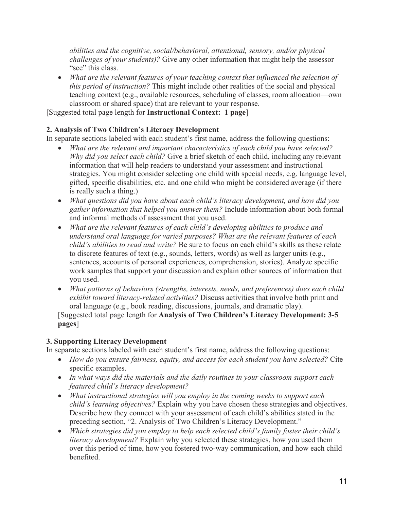*abilities and the cognitive, social/behavioral, attentional, sensory, and/or physical challenges of your students)?* Give any other information that might help the assessor "see" this class.

• *What are the relevant features of your teaching context that influenced the selection of this period of instruction?* This might include other realities of the social and physical teaching context (e.g., available resources, scheduling of classes, room allocation—own classroom or shared space) that are relevant to your response.

[Suggested total page length for **Instructional Context: 1 page**]

# **2. Analysis of Two Children's Literacy Development**

In separate sections labeled with each student's first name, address the following questions:

- *What are the relevant and important characteristics of each child you have selected? Why did you select each child?* Give a brief sketch of each child, including any relevant information that will help readers to understand your assessment and instructional strategies. You might consider selecting one child with special needs, e.g. language level, gifted, specific disabilities, etc. and one child who might be considered average (if there is really such a thing.)
- *What questions did you have about each child's literacy development, and how did you gather information that helped you answer them?* Include information about both formal and informal methods of assessment that you used.
- *What are the relevant features of each child's developing abilities to produce and understand oral language for varied purposes? What are the relevant features of each child's abilities to read and write?* Be sure to focus on each child's skills as these relate to discrete features of text (e.g., sounds, letters, words) as well as larger units (e.g., sentences, accounts of personal experiences, comprehension, stories). Analyze specific work samples that support your discussion and explain other sources of information that you used.
- *What patterns of behaviors (strengths, interests, needs, and preferences) does each child exhibit toward literacy-related activities?* Discuss activities that involve both print and oral language (e.g., book reading, discussions, journals, and dramatic play).

[Suggested total page length for **Analysis of Two Children's Literacy Development: 3-5 pages**]

# **3. Supporting Literacy Development**

In separate sections labeled with each student's first name, address the following questions:

- *How do you ensure fairness, equity, and access for each student you have selected?* Cite specific examples.
- *In what ways did the materials and the daily routines in your classroom support each featured child's literacy development?*
- *What instructional strategies will you employ in the coming weeks to support each child's learning objectives?* Explain why you have chosen these strategies and objectives. Describe how they connect with your assessment of each child's abilities stated in the preceding section, "2. Analysis of Two Children's Literacy Development."
- *Which strategies did you employ to help each selected child's family foster their child's literacy development?* Explain why you selected these strategies, how you used them over this period of time, how you fostered two-way communication, and how each child benefited.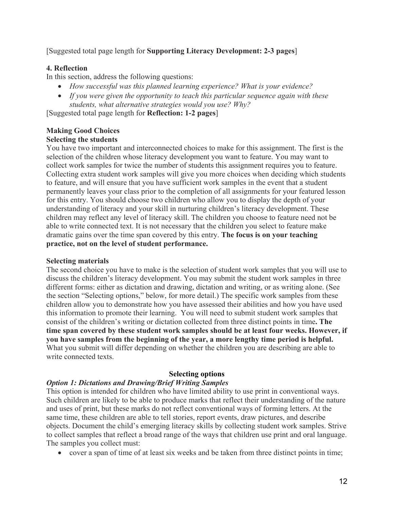[Suggested total page length for **Supporting Literacy Development: 2-3 pages**]

# **4. Reflection**

In this section, address the following questions:

- *How successful was this planned learning experience? What is your evidence?*
- *If you were given the opportunity to teach this particular sequence again with these students, what alternative strategies would you use? Why?*

[Suggested total page length for **Reflection: 1-2 pages**]

### **Making Good Choices Selecting the students**

You have two important and interconnected choices to make for this assignment. The first is the selection of the children whose literacy development you want to feature. You may want to collect work samples for twice the number of students this assignment requires you to feature. Collecting extra student work samples will give you more choices when deciding which students to feature, and will ensure that you have sufficient work samples in the event that a student permanently leaves your class prior to the completion of all assignments for your featured lesson for this entry. You should choose two children who allow you to display the depth of your understanding of literacy and your skill in nurturing children's literacy development. These children may reflect any level of literacy skill. The children you choose to feature need not be able to write connected text. It is not necessary that the children you select to feature make dramatic gains over the time span covered by this entry. **The focus is on your teaching practice, not on the level of student performance.** 

# **Selecting materials**

The second choice you have to make is the selection of student work samples that you will use to discuss the children's literacy development. You may submit the student work samples in three different forms: either as dictation and drawing, dictation and writing, or as writing alone. (See the section "Selecting options," below, for more detail.) The specific work samples from these children allow you to demonstrate how you have assessed their abilities and how you have used this information to promote their learning. You will need to submit student work samples that consist of the children's writing or dictation collected from three distinct points in time**. The time span covered by these student work samples should be at least four weeks. However, if you have samples from the beginning of the year, a more lengthy time period is helpful.**  What you submit will differ depending on whether the children you are describing are able to write connected texts.

# **Selecting options**

# *Option 1: Dictations and Drawing/Brief Writing Samples*

This option is intended for children who have limited ability to use print in conventional ways. Such children are likely to be able to produce marks that reflect their understanding of the nature and uses of print, but these marks do not reflect conventional ways of forming letters. At the same time, these children are able to tell stories, report events, draw pictures, and describe objects. Document the child's emerging literacy skills by collecting student work samples. Strive to collect samples that reflect a broad range of the ways that children use print and oral language. The samples you collect must:

• cover a span of time of at least six weeks and be taken from three distinct points in time;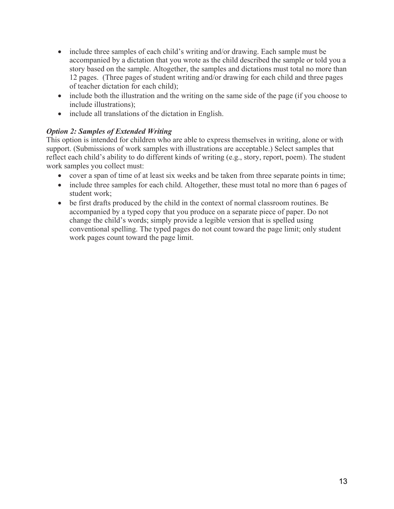- include three samples of each child's writing and/or drawing. Each sample must be accompanied by a dictation that you wrote as the child described the sample or told you a story based on the sample. Altogether, the samples and dictations must total no more than 12 pages. (Three pages of student writing and/or drawing for each child and three pages of teacher dictation for each child);
- include both the illustration and the writing on the same side of the page (if you choose to include illustrations);
- include all translations of the dictation in English.

# *Option 2: Samples of Extended Writing*

This option is intended for children who are able to express themselves in writing, alone or with support. (Submissions of work samples with illustrations are acceptable.) Select samples that reflect each child's ability to do different kinds of writing (e.g., story, report, poem). The student work samples you collect must:

- cover a span of time of at least six weeks and be taken from three separate points in time;
- include three samples for each child. Altogether, these must total no more than 6 pages of student work;
- be first drafts produced by the child in the context of normal classroom routines. Be accompanied by a typed copy that you produce on a separate piece of paper. Do not change the child's words; simply provide a legible version that is spelled using conventional spelling. The typed pages do not count toward the page limit; only student work pages count toward the page limit.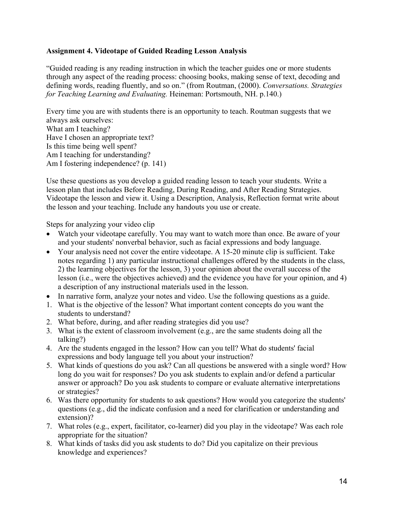### **Assignment 4. Videotape of Guided Reading Lesson Analysis**

"Guided reading is any reading instruction in which the teacher guides one or more students through any aspect of the reading process: choosing books, making sense of text, decoding and defining words, reading fluently, and so on." (from Routman, (2000). *Conversations. Strategies for Teaching Learning and Evaluating.* Heineman: Portsmouth, NH. p.140.)

Every time you are with students there is an opportunity to teach. Routman suggests that we always ask ourselves: What am I teaching? Have I chosen an appropriate text? Is this time being well spent? Am I teaching for understanding? Am I fostering independence? (p. 141)

Use these questions as you develop a guided reading lesson to teach your students. Write a lesson plan that includes Before Reading, During Reading, and After Reading Strategies. Videotape the lesson and view it. Using a Description, Analysis, Reflection format write about the lesson and your teaching. Include any handouts you use or create.

Steps for analyzing your video clip

- Watch your videotape carefully. You may want to watch more than once. Be aware of your and your students' nonverbal behavior, such as facial expressions and body language.
- Your analysis need not cover the entire videotape. A 15-20 minute clip is sufficient. Take notes regarding 1) any particular instructional challenges offered by the students in the class, 2) the learning objectives for the lesson, 3) your opinion about the overall success of the lesson (i.e., were the objectives achieved) and the evidence you have for your opinion, and 4) a description of any instructional materials used in the lesson.
- In narrative form, analyze your notes and video. Use the following questions as a guide.
- 1. What is the objective of the lesson? What important content concepts do you want the students to understand?
- 2. What before, during, and after reading strategies did you use?
- 3. What is the extent of classroom involvement (e.g., are the same students doing all the talking?)
- 4. Are the students engaged in the lesson? How can you tell? What do students' facial expressions and body language tell you about your instruction?
- 5. What kinds of questions do you ask? Can all questions be answered with a single word? How long do you wait for responses? Do you ask students to explain and/or defend a particular answer or approach? Do you ask students to compare or evaluate alternative interpretations or strategies?
- 6. Was there opportunity for students to ask questions? How would you categorize the students' questions (e.g., did the indicate confusion and a need for clarification or understanding and extension)?
- 7. What roles (e.g., expert, facilitator, co-learner) did you play in the videotape? Was each role appropriate for the situation?
- 8. What kinds of tasks did you ask students to do? Did you capitalize on their previous knowledge and experiences?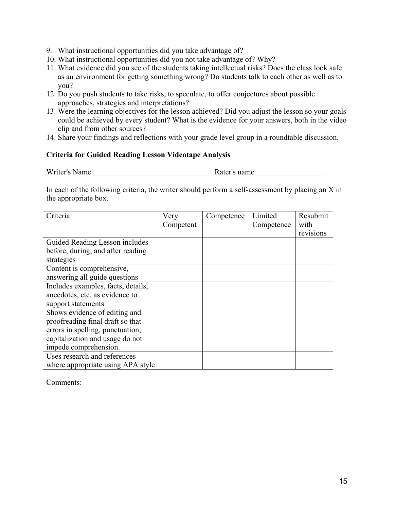- 9. What instructional opportunities did you take advantage of?
- 10. What instructional opportunities did you not take advantage of? Why?
- 11. What evidence did you see of the students taking intellectual risks? Does the class look safe as an environment for getting something wrong? Do students talk to each other as well as to you?
- 12. Do you push students to take risks, to speculate, to offer conjectures about possible approaches, strategies and interpretations?
- 13. Were the learning objectives for the lesson achieved? Did you adjust the lesson so your goals could be achieved by every student? What is the evidence for your answers, both in the video clip and from other sources?
- 14. Share your findings and reflections with your grade level group in a roundtable discussion.

### **Criteria for Guided Reading Lesson Videotape Analysis**

Writer's Name **Name** Rater's name

In each of the following criteria, the writer should perform a self-assessment by placing an X in the appropriate box.

| Criteria                           | Very      | Competence | Limited    | Resubmit  |
|------------------------------------|-----------|------------|------------|-----------|
|                                    | Competent |            | Competence | with      |
|                                    |           |            |            | revisions |
| Guided Reading Lesson includes     |           |            |            |           |
| before, during, and after reading  |           |            |            |           |
| strategies                         |           |            |            |           |
| Content is comprehensive,          |           |            |            |           |
| answering all guide questions      |           |            |            |           |
| Includes examples, facts, details, |           |            |            |           |
| anecdotes, etc. as evidence to     |           |            |            |           |
| support statements                 |           |            |            |           |
| Shows evidence of editing and      |           |            |            |           |
| proofreading final draft so that   |           |            |            |           |
| errors in spelling, punctuation,   |           |            |            |           |
| capitalization and usage do not    |           |            |            |           |
| impede comprehension.              |           |            |            |           |
| Uses research and references       |           |            |            |           |
| where appropriate using APA style  |           |            |            |           |

Comments: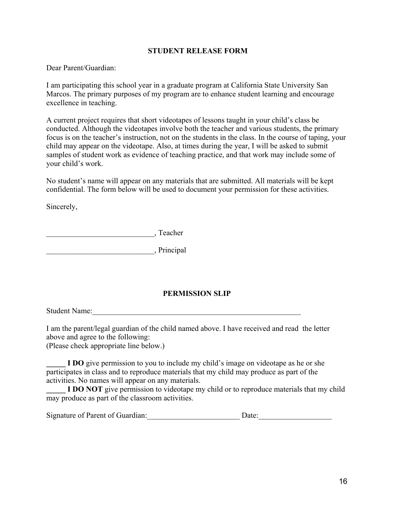### **STUDENT RELEASE FORM**

Dear Parent/Guardian:

I am participating this school year in a graduate program at California State University San Marcos. The primary purposes of my program are to enhance student learning and encourage excellence in teaching.

A current project requires that short videotapes of lessons taught in your child's class be conducted. Although the videotapes involve both the teacher and various students, the primary focus is on the teacher's instruction, not on the students in the class. In the course of taping, your child may appear on the videotape. Also, at times during the year, I will be asked to submit samples of student work as evidence of teaching practice, and that work may include some of your child's work.

No student's name will appear on any materials that are submitted. All materials will be kept confidential. The form below will be used to document your permission for these activities.

Sincerely,

\_\_\_\_\_\_\_\_\_\_\_\_\_\_\_\_\_\_\_\_\_\_\_\_\_\_\_\_, Teacher

\_\_\_\_\_\_\_\_\_\_\_\_\_\_\_\_\_\_\_\_\_\_\_\_\_\_\_\_, Principal

# **PERMISSION SLIP**

Student Name:

I am the parent/legal guardian of the child named above. I have received and read the letter above and agree to the following:

(Please check appropriate line below.)

**I DO** give permission to you to include my child's image on videotape as he or she participates in class and to reproduce materials that my child may produce as part of the activities. No names will appear on any materials.

**I DO NOT** give permission to videotape my child or to reproduce materials that my child may produce as part of the classroom activities.

| Signature of Parent of Guardian:<br>Date: |
|-------------------------------------------|
|-------------------------------------------|